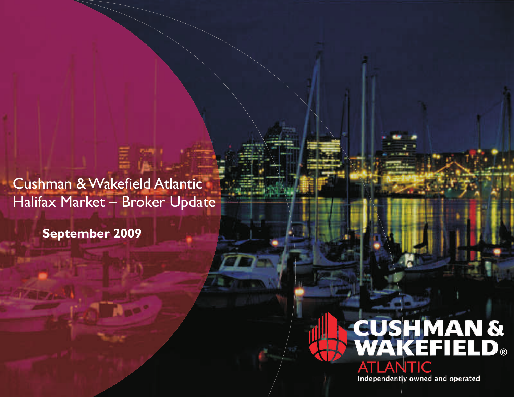Cushman & Wakefield Atlantic Halifax Market – Broker Update

**September 2009**

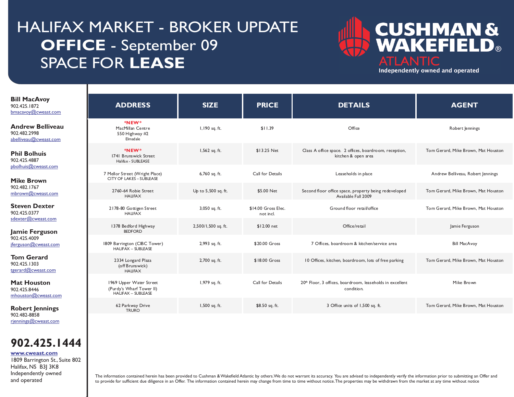# HALIFAX MARKET - BROKER UPDATE **OFFICE** - September 09 SPACE FOR **LEASE**



Independently owned and operated

| <b>Bill MacAvoy</b><br>902.425.1872<br>bmacavoy@cweast.com                   | <b>ADDRESS</b>                                                            | <b>SIZE</b>         | <b>PRICE</b>                     | <b>DETAILS</b>                                                                      | <b>AGENT</b>                        |
|------------------------------------------------------------------------------|---------------------------------------------------------------------------|---------------------|----------------------------------|-------------------------------------------------------------------------------------|-------------------------------------|
| <b>Andrew Belliveau</b><br>902.482.2998<br>abelliveau@cweast.com             | *NEW*<br>MacMillan Centre<br>550 Highway #2<br>Elmsdale                   | I, 190 sq. ft.      | \$11.39                          | Office                                                                              | Robert Jennings                     |
| <b>Phil Bolhuis</b><br>902.425.4887                                          | *NEW*<br>1741 Brunswick Street<br>Halifax - SUBLEASE                      | 1,562 sq. ft.       | \$13.25 Net                      | Class A office space. 2 offices, boardroom, reception,<br>kitchen & open area       | Tom Gerard, Mike Brown, Mat Houston |
| pbolhuis@cweast.com<br><b>Mike Brown</b>                                     | 7 Mellor Street (Wright Place)<br><b>CITY OF LAKES - SUBLEASE</b>         | 6,760 sq. ft.       | Call for Details                 | Leaseholds in place                                                                 | Andrew Belliveau, Robert Jennings   |
| 902.482.1767<br>mbrown@cweast.com                                            | 2760-64 Robie Street<br><b>HAUFAX</b>                                     | Up to 5,500 sq. ft. | \$5.00 Net                       | Second floor office space, property being redeveloped<br>Available Fall 2009        | Tom Gerard, Mike Brown, Mat Houston |
| <b>Steven Dexter</b><br>902.425.0377                                         | 2178-80 Gottigen Street<br><b>HAUFAX</b>                                  | 3,050 sq. ft.       | \$14.00 Gross Elec.<br>not incl. | Ground floor retail/office                                                          | Tom Gerard, Mike Brown, Mat Houston |
| sdexter@cweast.com<br>Jamie Ferguson<br>902.425.4009<br>jferguson@cweast.com | 1378 Bedford Highway<br><b>BEDFORD</b>                                    | 2,500/1,500 sq. ft. | \$12.00 net                      | Office/retail                                                                       | Jamie Ferguson                      |
|                                                                              | 1809 Barrington (CIBC Tower)<br><b>HALIFAX - SUBLEASE</b>                 | 2,993 sq. ft.       | \$20.00 Gross                    | 7 Offices, boardroom & kitchen/service area                                         | <b>Bill MacAvoy</b>                 |
| <b>Tom Gerard</b><br>902.425.1303<br>tgerard@cweast.com                      | 2334 Longard Plaza<br>(off Brunswick)<br><b>HALIFAX</b>                   | 2,700 sq. ft.       | \$18.00 Gross                    | 10 Offices, kitchen, boardroom, lots of free parking                                | Tom Gerard, Mike Brown, Mat Houston |
| <b>Mat Houston</b><br>902.425.8446<br>$m$ houston@cweast.com                 | 1969 Upper Water Street<br>(Purdy's Wharf Tower II)<br>HALIFAX - SUBLEASE | 1,979 sq. ft.       | Call for Details                 | 20 <sup>th</sup> Floor, 3 offices, boardroom, leaseholds in excellent<br>condition. | Mike Brown                          |
| <b>Robert Jennings</b><br>902.482-8858                                       | 62 Parkway Drive<br><b>TRURO</b>                                          | 1,500 sq. ft.       | \$8.50 sq. ft.                   | 3 Office units of 1,500 sq. ft.                                                     | Tom Gerard, Mike Brown, Mat Houston |

**902.425.1444**

#### **[www.cweast.com](http://www.cweast.com)**

[rjennings@cweast.com](mailto:rjennings@cweast.com)

I

I

1809 Barrington St., Suite 802 Halifax, NS B3J 3K8 Independently owned and operated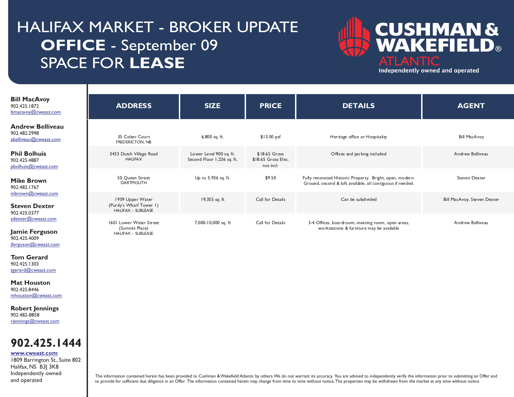# HALIFAX MARKET - BROKER UPDATE **OFFICE** - September 09 SPACE FOR **LEASE**

I

I

Independently owned and operated



Independently owned and operated

| <b>Bill MacAvoy</b><br>902.425.1872<br>bmacavoy@cweast.com                                                                              | <b>ADDRESS</b>                                                           | <b>SIZE</b>                                           | <b>PRICE</b>                                      | <b>DETAILS</b>                                                                                                         | <b>AGENT</b>                |
|-----------------------------------------------------------------------------------------------------------------------------------------|--------------------------------------------------------------------------|-------------------------------------------------------|---------------------------------------------------|------------------------------------------------------------------------------------------------------------------------|-----------------------------|
| <b>Andrew Belliveau</b><br>902.482.2998<br>abelliveau@cweast.com                                                                        | 35 Colter Court<br>FREDERICTON, NB                                       | 6,800 sq. ft.                                         | $$15.00$ psf                                      | Heritage office or Hospitality                                                                                         | <b>Bill MacAvoy</b>         |
| <b>Phil Bolhuis</b><br>902.425.4887<br>pbolhuis@cweast.com                                                                              | 3433 Dutch Village Road<br><b>HAUFAX</b>                                 | Lower Level 900 sq. ft.<br>Second Floor 1,236 sq. ft. | \$18.65 Gross<br>\$18.65 Gross Elec.<br>not incl. | Offices and parking included                                                                                           | Andrew Belliveau            |
| <b>Mike Brown</b><br>902.482.1767                                                                                                       | 50 Queen Street<br><b>DARTMOUTH</b>                                      | Up to 3,936 sq. ft.                                   | \$9.50                                            | Fully renovated Historic Property. Bright, open, modern.<br>Ground, second & loft available, all contiguous if needed. | Steven Dexter               |
| mbrown@cweast.com<br><b>Steven Dexter</b><br>902.425.0377                                                                               | 1959 Upper Water<br>(Purdy's Wharf Tower 1)<br><b>HALIFAX - SUBLEASE</b> | 19,355 sq. ft                                         | Call for Details                                  | Can be subdivided                                                                                                      | Bill MacAvoy, Steven Dexter |
| sdexter@cweast.com<br>Jamie Ferguson<br>902.425.4009<br>jferguson@cweast.com<br><b>Tom Gerard</b><br>902.425.1303<br>tgerard@cweast.com | 1601 Lower Water Street<br>(Summit Place)<br><b>HALIFAX - SUBLEASE</b>   | 7,000-10,000 sq. ft                                   | Call for Details                                  | 3-4 Offices, boardroom, meeting room, open areas,<br>workstations & furniture may be available                         | Andrew Belliveau            |
| <b>Mat Houston</b><br>902.425.8446<br>mhouston@cweast.com                                                                               |                                                                          |                                                       |                                                   |                                                                                                                        |                             |
| <b>Robert Jennings</b><br>902.482-8858<br>rjennings@cweast.com                                                                          |                                                                          |                                                       |                                                   |                                                                                                                        |                             |
| 902.425.1444<br>www.cweast.com<br>1809 Barrington St., Suite 802<br>Halifax, NS B3J 3K8                                                 |                                                                          |                                                       |                                                   |                                                                                                                        |                             |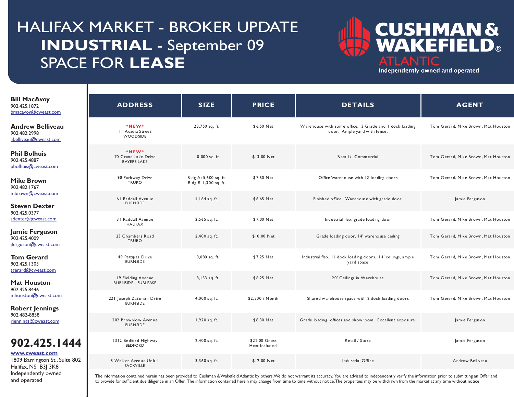# HALIFAX MARKET - BROKER UPDATE **INDUSTRIAL** - September 09 SPACE FOR **LEASE**

I

I

and operated



Independently owned and operated

| <b>Bill MacAvoy</b><br>902.425.1872<br>bmacavoy@cweast.com                                     | <b>ADDRESS</b>                                     | <b>SIZE</b>                                    | <b>PRICE</b>                    | <b>DETAILS</b>                                                                         | <b>AGENT</b>                        |
|------------------------------------------------------------------------------------------------|----------------------------------------------------|------------------------------------------------|---------------------------------|----------------------------------------------------------------------------------------|-------------------------------------|
| <b>Andrew Belliveau</b><br>902.482.2998<br>abelliveau@cweast.com                               | *NEW*<br>II Acadia Street<br>WOODSIDE              | 23,750 sq. ft.                                 | \$6.50 Net                      | Warehouse with some office. 3 Grade and I dock loading<br>door. Ample yard with fence. | Tom Gerard, Mike Brown, Mat Houston |
| <b>Phil Bolhuis</b><br>902.425.4887<br>pbolhuis@cweast.com                                     | *NEW*<br>70 Crane Lake Drive<br><b>BAYERS LAKE</b> | 10,000 sq. ft                                  | \$13.00 Net                     | Retail / Commercial                                                                    | Tom Gerard, Mike Brown, Mat Houston |
| <b>Mike Brown</b><br>902.482.1767                                                              | 98 Parkway Drive<br>TRURO                          | Bldg A: 5,600 sq. ft.<br>Bldg B: 1,300 sq. ft. | \$7.50 Net                      | Office/warehouse with 12 loading doors                                                 | Tom Gerard, Mike Brown, Mat Houston |
| mbrown@cweast.com<br><b>Steven Dexter</b>                                                      | 61 Raddall Avenue<br><b>BURNSIDE</b>               | 4,164 sq. ft.                                  | \$6.65 Net                      | Finished office. Warehouse with grade door.                                            | Jamie Ferguson                      |
| 902.425.0377<br>sdexter@cweast.com                                                             | 31 Raddall Avenue<br><b>HALIFAX</b>                | 2,565 sq. ft.                                  | \$7.00 Net                      | Industrial flex, grade loading door                                                    | Tom Gerard, Mike Brown, Mat Houston |
| Jamie Ferguson<br>902.425.4009<br>jferguson@cweast.com                                         | 23 Chambers Road<br><b>TRURO</b>                   | 2,400 sq. ft.                                  | \$10.00 Net                     | Grade loading door, 14' warehouse ceiling                                              | Tom Gerard, Mike Brown, Mat Houston |
| <b>Tom Gerard</b><br>902.425.1303<br>tgerard@cweast.com                                        | 49 Pettipas Drive<br><b>BURNSIDE</b>               | 10,080 sq. ft.                                 | \$7.25 Net                      | Industrial flex, 11 dock loading doors. 14' ceilings, ample<br>yard space              | Tom Gerard, Mike Brown, Mat Houston |
| <b>Mat Houston</b>                                                                             | 19 Fielding Avenue<br><b>BURNSIDE - SUBLEASE</b>   | 18,133 sq. ft.                                 | \$6.25 Net                      | 20' Ceilings in Warehouse                                                              | Tom Gerard, Mike Brown, Mat Houston |
| 902.425.8446<br>mhouston@cweast.com<br><b>Robert Jennings</b>                                  | 221 Joseph Zatzman Drive<br><b>BURNSIDE</b>        | 4,000 sq. ft.                                  | \$2,500 / Month                 | Shared warehouse space with 2 dock loading doors                                       | Tom Gerard, Mike Brown, Mat Houston |
| 902.482-8858<br>rjennings@cweast.com                                                           | 202 Brownlow Avenue<br><b>BURNSIDE</b>             | 1,920 sq. ft.                                  | \$8.30 Net                      | Grade loading, offices and showroom. Excellent exposure.                               | Jamie Ferguson                      |
| 902.425.1444                                                                                   | 1312 Bedford Highway<br><b>BEDFORD</b>             | 2,400 sq. ft.                                  | \$22.00 Gross<br>Heat included. | Retail / Store                                                                         | Jamie Ferguson                      |
| www.cweast.com<br>1809 Barrington St., Suite 802<br>Halifax, NS B3J 3K8<br>Independently owned | 8 Walker Avenue Unit I<br><b>SACKVILLE</b>         | 3,360 sq. ft.                                  | \$12.00 Net                     | Industrial Office                                                                      | Andrew Belliveau                    |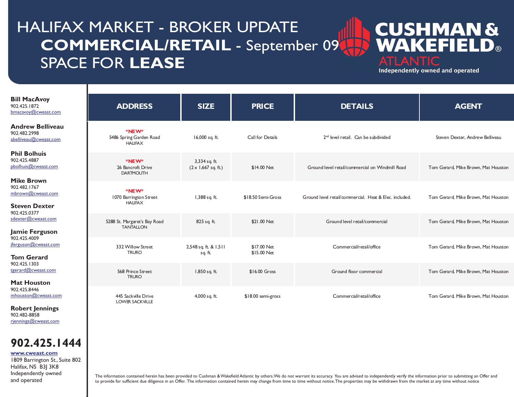# HALIFAX MARKET - BROKER UPDATE **COMMERCIAL/RETAIL** - September 09 SPACE FOR **LEASE**

### **CUSHMAN&** EFIEL  $\blacksquare$ WД **ATLANTIC**

Independently owned and operated

| <b>Bill MacAvoy</b><br>902.425.1872<br>bmacavoy@cweast.com                     | <b>ADDRESS</b>                                    | <b>SIZE</b>                                 | <b>PRICE</b>               | <b>DETAILS</b>                                         | <b>AGENT</b>                        |
|--------------------------------------------------------------------------------|---------------------------------------------------|---------------------------------------------|----------------------------|--------------------------------------------------------|-------------------------------------|
| <b>Andrew Belliveau</b><br>902.482.2998<br>abelliveau@cweast.com               | *NEW*<br>5486 Spring Garden Road<br><b>HAUFAX</b> | 16,000 sq. ft.                              | Call for Details           | 2 <sup>nd</sup> level retail. Can be subdivided        | Steven Dexter, Andrew Belliveau     |
| <b>Phil Bolhuis</b><br>902.425.4887<br>pbolhuis@cweast.com                     | *NEW*<br>26 Bancroft Drive<br><b>DARTMOUTH</b>    | 3,334 sq. ft.<br>$(2 \times 1,667$ sq. ft.) | \$14.00 Net                | Ground level retail/commercial on Windmill Road        | Tom Gerard, Mike Brown, Mat Houston |
| <b>Mike Brown</b><br>902.482.1767<br>mbrown@cweast.com<br><b>Steven Dexter</b> | *NEW*<br>1070 Barrington Street<br><b>HAUFAX</b>  | 1,388 sq. ft.                               | \$18.50 Semi-Gross         | Ground level retail/commercial. Heat & Elec. included. | Tom Gerard, Mike Brown, Mat Houston |
| 902.425.0377<br>sdexter@cweast.com<br>Jamie Ferguson                           | 5288 St. Margaret's Bay Road<br><b>TANTALLON</b>  | 825 sq. ft.                                 | \$21.00 Net                | Ground level retail/commercial                         | Tom Gerard, Mike Brown, Mat Houston |
| 902.425.4009<br>jferguson@cweast.com<br><b>Tom Gerard</b>                      | 332 Willow Street<br><b>TRURO</b>                 | 2,548 sq. ft. & 1,511<br>sq. ft.            | \$17.00 Net<br>\$15.00 Net | Commercial/retail/office                               | Tom Gerard, Mike Brown, Mat Houston |
| 902.425.1303<br>tgerard@cweast.com<br><b>Mat Houston</b>                       | 568 Prince Street<br><b>TRURO</b>                 | 1,850 sq. ft.                               | \$16.00 Gross              | Ground floor commercial                                | Tom Gerard, Mike Brown, Mat Houston |
| 902.425.8446<br>mhouston@cweast.com<br>____                                    | 445 Sackville Drive<br><b>LOWER SACK VILLE</b>    | 4,000 sq. ft.                               | \$18.00 semi-gross         | Commercial/retail/office                               | Tom Gerard, Mike Brown, Mat Houston |

**Robert Jennings** 902.482-8858 [rjennings@cweast.com](mailto:rjennings@cweast.com)

I

I

### **902.425.1444**

**[www.cweast.com](http://www.cweast.com)**

1809 Barrington St., Suite 802 Halifax, NS B3J 3K8 Independently owned and operated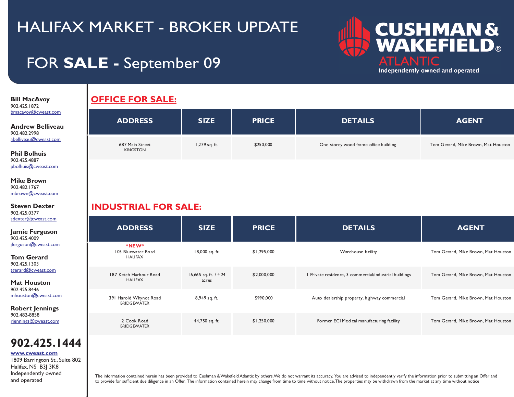## FOR **SALE -** September 09



**Bill MacAvoy**  902.425.1872 [bmacavoy@cweast.com](mailto:bmacavoy@cweast.com)

I

I

**Andrew Belliveau** 902.482.2998 [abelliveau@cweast.com](mailto:abelliveau@cweast.com)

**Phil Bolhuis** 902.425.4887 [pbolhuis@cweast.com](mailto:abelliveau@cweast.com)

**Mike Brown** 902.482.1767 [mbrown@cweast.com](mailto:mbrown@cweast.com)

**Steven Dexter** 902.425.0377 [sdexter@cweast.com](mailto:sdexter@cweast.com)

**Jamie Ferguson** 902.425.4009 [jferguson@cweast.com](mailto:jferguson@cweast.com)

**Tom Gerard** 902.425.1303 [tgerard@cweast.com](mailto:tgerard@cweast.com)

**Mat Houston** 902.425.8446 [mhouston@cweast.com](mailto:mhouston@cweast.com)

**Robert Jennings** 902.482-8858 [rjennings@cweast.com](mailto:rjennings@cweast.com)

### **902.425.1444**

**[www.cweast.com](http://www.cweast.com)**

1809 Barrington St., Suite 802 Halifax, NS B3J 3K8 Independently owned and operated

### **OFFICE FOR SALE:**

| <b>ADDRESS</b>                     | <b>SIZE</b>   | <b>PRICE</b> | <b>DETAILS</b>                        | <b>AGENT</b>                        |
|------------------------------------|---------------|--------------|---------------------------------------|-------------------------------------|
| 687 Main Street<br><b>KINGSTON</b> | 1,279 sq. ft. | \$250,000    | One storey wood frame office building | Tom Gerard, Mike Brown, Mat Houston |

### **INDUSTRIAL FOR SALE:**

| <b>ADDRESS</b>                               | <b>SIZE</b>                    | <b>PRICE</b> | <b>DETAILS</b>                                         | <b>AGENT</b>                        |
|----------------------------------------------|--------------------------------|--------------|--------------------------------------------------------|-------------------------------------|
| *NEW*<br>103 Bluewater Road<br><b>HAUFAX</b> | 18,000 sq. ft.                 | \$1,295,000  | Warehouse facility                                     | Tom Gerard, Mike Brown, Mat Houston |
| 187 Ketch Harbour Road<br><b>HAUFAX</b>      | 16,665 sq. ft. / 4.24<br>acres | \$2,000,000  | I Private residence, 3 commercial/industrial buildings | Tom Gerard, Mike Brown, Mat Houston |
| 391 Harold Whynot Road<br><b>BRIDGEWATER</b> | 8,949 sq. ft.                  | \$990,000    | Auto dealership property, highway commercial           | Tom Gerard, Mike Brown, Mat Houston |
| 2 Cook Road<br><b>BRIDGEWATER</b>            | 44,750 sq. ft.                 | \$1,250,000  | Former ECI Medical manufacturing facility              | Tom Gerard, Mike Brown, Mat Houston |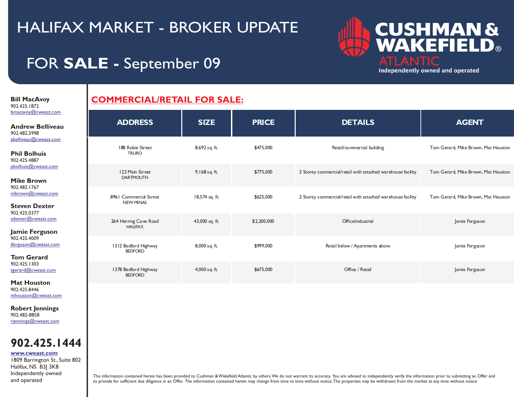# **CUSHMAN &<br>WAKEFIELD®** ATLANTIC Independently owned and operated

## FOR **SALE -** September 09

**Bill MacAvoy**  902.425.1872 [bmacavoy@cweast.com](mailto:bmacavoy@cweast.com)

I

I

#### **Andrew Belliveau** 902.482.2998 [abelliveau@cweast.com](mailto:abelliveau@cweast.com)

**Phil Bolhuis** 902.425.4887 [pbolhuis@cweast.com](mailto:abelliveau@cweast.com)

**Mike Brown** 902.482.1767 [mbrown@cweast.com](mailto:mbrown@cweast.com)

**Steven Dexter** 902.425.0377 [sdexter@cweast.com](mailto:sdexter@cweast.com)

**Jamie Ferguson** 902.425.4009 [jferguson@cweast.com](mailto:jferguson@cweast.com)

**Tom Gerard** 902.425.1303 [tgerard@cweast.com](mailto:tgerard@cweast.com)

**Mat Houston** 902.425.8446 [mhouston@cweast.com](mailto:mhouston@cweast.com)

**Robert Jennings** 902.482-8858 [rjennings@cweast.com](mailto:rjennings@cweast.com)

### **902.425.1444**

**[www.cweast.com](http://www.cweast.com)**

1809 Barrington St., Suite 802 Halifax, NS B3J 3K8 Independently owned and operated

### **COMMERCIAL/RETAIL FOR SALE:**

| <b>ADDRESS</b>                             | <b>SIZE</b>    | <b>PRICE</b> | <b>DETAILS</b>                                              | <b>AGENT</b>                        |
|--------------------------------------------|----------------|--------------|-------------------------------------------------------------|-------------------------------------|
| 188 Robie Street<br><b>TRURO</b>           | 8,692 sq. ft.  | \$475,000    | Retail/commercial building                                  | Tom Gerard, Mike Brown, Mat Houston |
| 122 Main Street<br><b>DARTMOUTH</b>        | 9,168 sq. ft.  | \$775,000    | 2 Storey commercial/retail with attached warehouse facility | Tom Gerard, Mike Brown, Mat Houston |
| 8961 Commercial Street<br><b>NEW MINAS</b> | 18,574 sq. ft. | \$625,000    | 2 Storey commercial/retail with attached warehouse facility | Tom Gerard, Mike Brown, Mat Houston |
| 264 Herring Cove Road<br><b>HAUFAX</b>     | 43,000 sq. ft. | \$2,200,000  | Office/industrial                                           | Jamie Ferguson                      |
| 1312 Bedford Highway<br><b>BEDFORD</b>     | 8,000 sq. ft.  | \$999,000    | Retail below / Apartments above                             | Jamie Ferguson                      |
| 1378 Bedford Highway<br><b>BEDFORD</b>     | 4,000 sq. ft.  | \$675,000    | Office / Retail                                             | Jamie Ferguson                      |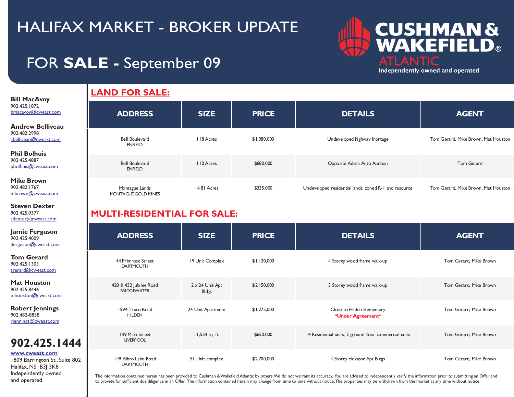## FOR **SALE -** September 09



Independently owned and operated

#### **Bill MacAvoy**  902.425.1872 [bmacavoy@cweast.com](mailto:bmacavoy@cweast.com)

I

I

**Andrew Belliveau** 902.482.2998 [abelliveau@cweast.com](mailto:abelliveau@cweast.com)

**Phil Bolhuis** 902.425.4887 [pbolhuis@cweast.com](mailto:abelliveau@cweast.com)

**Mike Brown** 902.482.1767 [mbrown@cweast.com](mailto:mbrown@cweast.com)

**Steven Dexter** 902.425.0377 [sdexter@cweast.com](mailto:sdexter@cweast.com)

**Jamie Ferguson** 902.425.4009 [jferguson@cweast.com](mailto:jferguson@cweast.com)

**Tom Gerard** 902.425.1303 [tgerard@cweast.com](mailto:tgerard@cweast.com)

**Mat Houston** 902.425.8446 mhouston@cweast.co

**Robert Jennings** 902.482-8858 [rjennings@cweast.com](mailto:rjennings@cweast.com)

### **902.425.1444**

#### **[www.cweast.com](http://www.cweast.com)**

1809 Barrington St. Halifax, NS B3| 3K8 Independently owned and operated

### **LAND FOR SALE:**

| <b>ADDRESS</b>                        | <b>SIZE</b>      | <b>PRICE</b> | <b>DETAILS</b>                                        | <b>AGENT</b>                        |
|---------------------------------------|------------------|--------------|-------------------------------------------------------|-------------------------------------|
| Bell Boulevard<br><b>ENFIELD</b>      | II8 Acres        | \$1,080,000  | Undeveloped highway frontage                          | Tom Gerard, Mike Brown, Mat Houston |
| Bell Boulevard<br><b>ENFIELD</b>      | <b>IIO</b> Acres | \$880,000    | Opposite Adesa Auto Auction                           | Tom Gerard                          |
| Montague Lands<br>MONTAGUE GOLD MINES | 14.81 Acres      | \$335,000    | Undeveloped residential lands, zoned R-1 and resource | Tom Gerard, Mike Brown, Mat Houston |

### **MULTI-RESIDENTIAL FOR SALE:**

| $\overline{\mathbf{n}}$ | <b>ADDRESS</b>                               | <b>SIZE</b>              | <b>PRICE</b> | <b>DETAILS</b>                                        | <b>AGENT</b>           |
|-------------------------|----------------------------------------------|--------------------------|--------------|-------------------------------------------------------|------------------------|
|                         | 44 Primrose Street<br><b>DARTMOUTH</b>       | 19 Unit Complex          | \$1,120,000  | 4 Storey wood frame walk-up                           | Tom Gerard, Mike Brown |
| m                       | 420 & 432 Jubilee Road<br><b>BRIDGEWATER</b> | 2 x 24 Unit Apt<br>Bldgs | \$2,150,000  | 3 Storey wood frame walk-up                           | Tom Gerard, Mike Brown |
|                         | 1594 Truro Road<br><b>HILDEN</b>             | 24 Unit Apartment        | \$1,275,000  | Close to Hilden Elementary<br>*Under Agreement*       | Tom Gerard, Mike Brown |
| 1444                    | 149 Main Street<br><b>LIVERPOOL</b>          | 11,554 sq. ft.           | \$650,000    | 14 Residential units, 2 ground floor commercial units | Tom Gerard, Mike Brown |
| Suite 802               | 149 Albro Lake Road<br><b>DARTMOUTH</b>      | 51 Unit complex          | \$2,700,000  | 4 Storey elevator Apt Bldgs                           | Tom Gerard, Mike Brown |